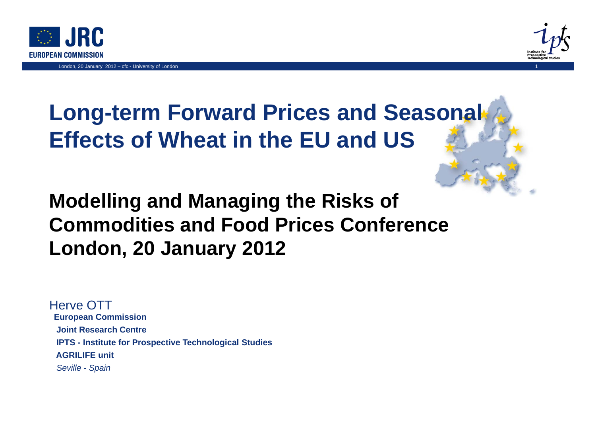



1

# **Long-term Forward Prices and Seasonal Effects of Wheat in the EU and US**

## **Modelling and Managing the Risks of Commodities and Food Prices Conference London, 20 January 2012**

**European Commission Joint Research CentreIPTS - Institute for Prospective Technological Studies AGRILIFE unit***Seville - Spain* Herve OTT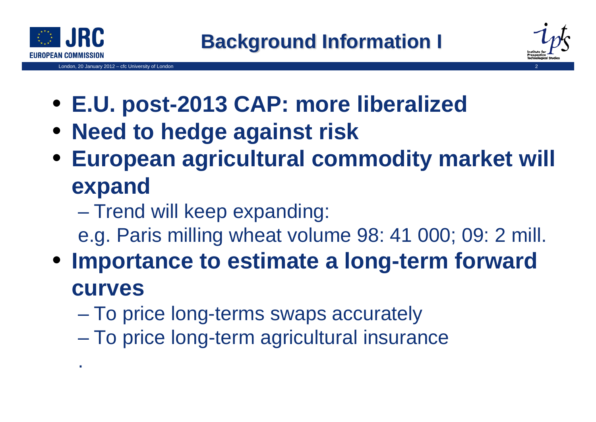

.

London, 20 January 2012 – cfc University of London 2



- **E.U. post-2013 CAP: more liberalized**
- **Need to hedge against risk**
- **European agricultural commodity market will expand**
	- $\mathcal{L}_{\mathcal{A}}$  , and the set of the set of the set of the set of the set of the set of the set of the set of the set of the set of the set of the set of the set of the set of the set of the set of the set of the set of th – Trend will keep expanding:
	- e.g. Paris milling wheat volume 98: 41 000; 09: 2 mill.
- **Importance to estimate a long-term forward curves**
	- $\mathcal{L}_{\mathcal{A}}$  , and the set of the set of the set of the set of the set of the set of the set of the set of the set of the set of the set of the set of the set of the set of the set of the set of the set of the set of th – To price long-terms swaps accurately
	- –To price long-term agricultural insurance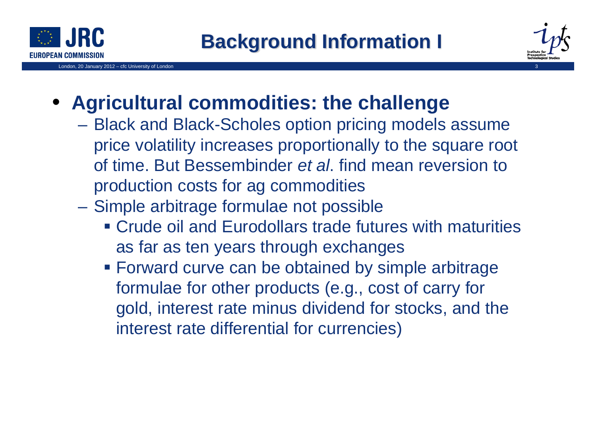

London, 20 January 2012 – cfc University of London 3



#### • **Agricultural commodities: the challenge**

- Black and Black-Scholes option pricing models assume price volatility increases proportionally to the square root of time. But Bessembinder *et al*. find mean reversion to production costs for ag commodities
- $\mathcal{L}_{\mathcal{A}}$  Simple arbitrage formulae not possible
	- Crude oil and Eurodollars trade futures with maturities as far as ten years through exchanges
	- **Forward curve can be obtained by simple arbitrage** formulae for other products (e.g., cost of carry for gold, interest rate minus dividend for stocks, and the interest rate differential for currencies)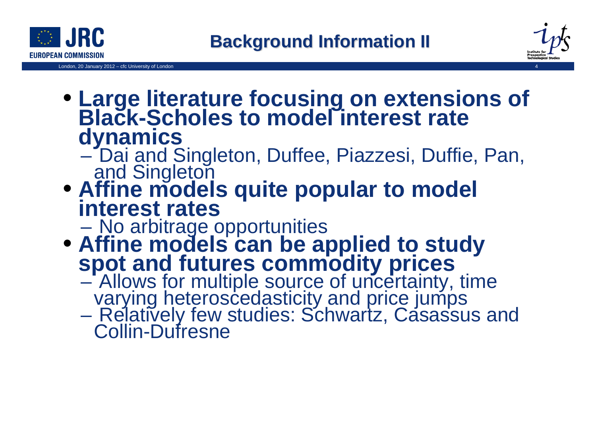



- **Large literature focusing on extensions of Black-Scholes to model interest rate dynamics**
	- $\mathcal{L}_{\mathcal{A}}$  , and the set of the set of the set of the set of the set of the set of the set of the set of the set of the set of the set of the set of the set of the set of the set of the set of the set of the set of th Dai and Singleton, Duffee, Piazzesi, Duffie, Pan,<br>and Singleton
- **Affine models quite popular to model interest rates**

No arbitrage opportunities

- $\bullet$  **Affine models can be applied to study spot and futures commodity prices**
	- Allows for multiple source of uncertainty, time<br>varying heteroscedasticity and price jumps
	- $\mathcal{L}_{\mathcal{A}}$ – Relatively few studies: Schwartz, Casassus and<br>Collin-Dufresne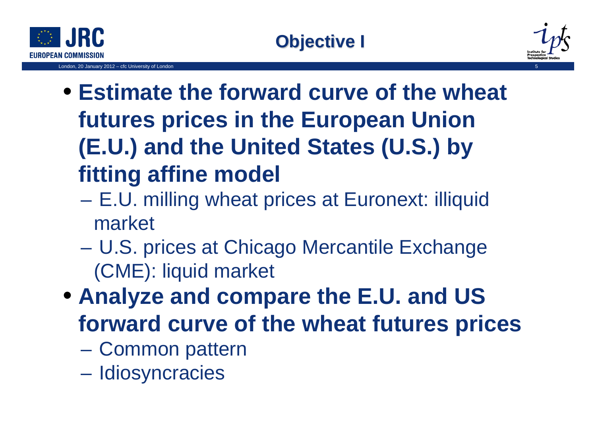

London, 20 January 2012 - cfc University of London



- **Estimate the forward curve of the wheat futures prices in the European Union (E.U.) and the United States (U.S.) by fitting affine model**
	- E.U. milling wheat prices at Euronext: illiquid market
	- $\mathcal{L}_{\mathcal{A}}$  , and the set of the set of the set of the set of the set of the set of the set of the set of the set of the set of the set of the set of the set of the set of the set of the set of the set of the set of th U.S. prices at Chicago Mercantile Exchange (CME): liquid market
- **Analyze and compare the E.U. and US forward curve of the wheat futures prices**
	- $\mathcal{L}_{\mathcal{A}}$  , and the set of the set of the set of the set of the set of the set of the set of the set of the set of the set of the set of the set of the set of the set of the set of the set of the set of the set of th Common pattern
	- –– Idiosyncracies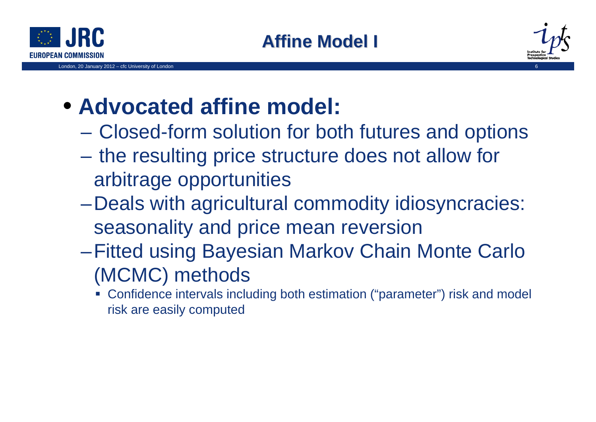

London, 20 January 2012 – cfc University of London 6



# • **Advocated affine model:**

- Closed-form solution for both futures and options
- –– the resulting price structure does not allow for arbitrage opportunities
- –Deals with agricultural commodity idiosyncracies: seasonality and price mean reversion
- –Fitted using Bayesian Markov Chain Monte Carlo (MCMC) methods
	- Confidence intervals including both estimation ("parameter") risk and model risk are easily computed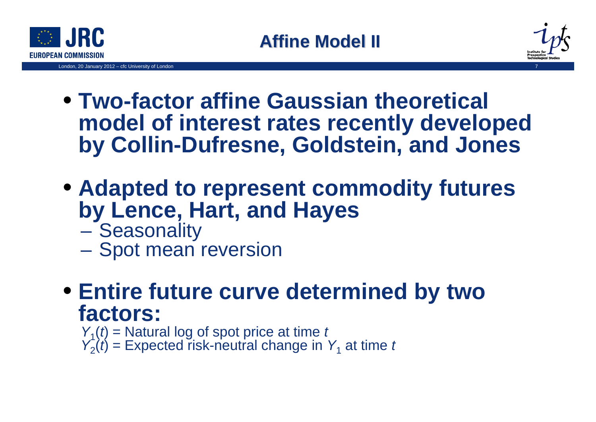

London, 20 January 2012 – cfc University of London 7



- **Two-factor affine Gaussian theoretical model of interest rates recently developed by Collin-Dufresne, Goldstein, and Jones**
- **Adapted to represent commodity futures by Lence, Hart, and Hayes**
	- $\mathcal{L}_{\mathcal{A}}$ **Seasonality**
	- $\mathcal{L}_{\mathcal{A}}$  , and the set of the set of the set of the set of the set of the set of the set of the set of the set of the set of the set of the set of the set of the set of the set of the set of the set of the set of th - Spot mean reversion
- **Entire future curve determined by two factors:** 
	- *Y*<sub>1</sub>(*t*) = Natural log of spot price at time *t*<br>*Y<sub>2</sub>*(*t*) = Expected risk-neutral change in *Y*<sub>1</sub> at time *t*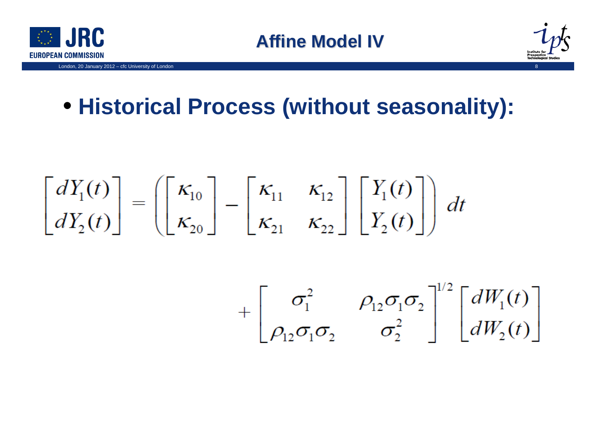



# • **Historical Process (without seasonality):**

$$
\begin{bmatrix} dY_1(t) \\ dY_2(t) \end{bmatrix} = \left( \begin{bmatrix} \kappa_{10} \\ \kappa_{20} \end{bmatrix} - \begin{bmatrix} \kappa_{11} & \kappa_{12} \\ \kappa_{21} & \kappa_{22} \end{bmatrix} \begin{bmatrix} Y_1(t) \\ Y_2(t) \end{bmatrix} \right) dt
$$

$$
+\begin{bmatrix} \sigma_1^2 & \rho_{12}\sigma_1\sigma_2 \\ \rho_{12}\sigma_1\sigma_2 & \sigma_2^2 \end{bmatrix}^{1/2} \begin{bmatrix} dW_1(t) \\ dW_2(t) \end{bmatrix}
$$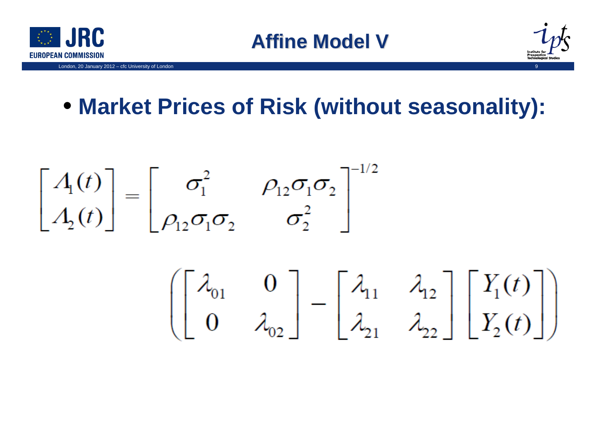



# • **Market Prices of Risk (without seasonality):**

$$
\begin{bmatrix} A_1(t) \\ A_2(t) \end{bmatrix} = \begin{bmatrix} \sigma_1^2 & \rho_{12}\sigma_1\sigma_2 \\ \rho_{12}\sigma_1\sigma_2 & \sigma_2^2 \end{bmatrix}^{-1/2}
$$

$$
\left[\begin{bmatrix} \lambda_{01} & 0 \\ 0 & \lambda_{02} \end{bmatrix} - \begin{bmatrix} \lambda_{11} & \lambda_{12} \\ \lambda_{21} & \lambda_{22} \end{bmatrix} \begin{bmatrix} Y_1(t) \\ Y_2(t) \end{bmatrix} \right]
$$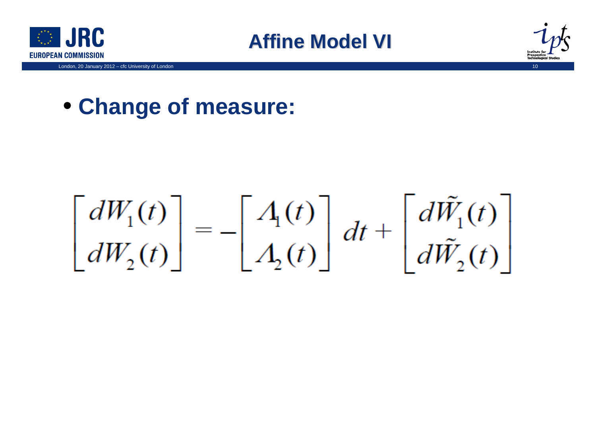





#### • **Change of measure:**

# $\begin{bmatrix} dW_1(t) \\ dW_2(t) \end{bmatrix} = - \begin{bmatrix} A_1(t) \\ A_2(t) \end{bmatrix} dt + \begin{bmatrix} d\tilde{W}_1(t) \\ d\tilde{W}_2(t) \end{bmatrix}$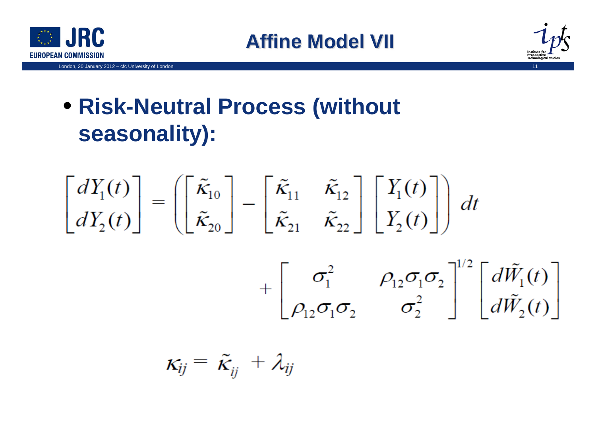



# • **Risk-Neutral Process (without seasonality):**



 $\kappa_{ij} = \tilde{\kappa}_{ii} + \lambda_{ij}$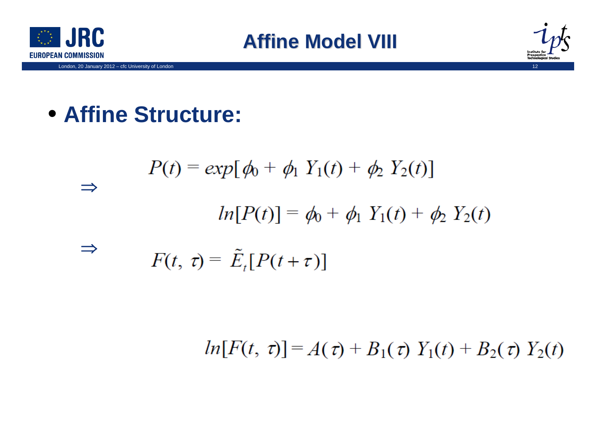



## • **Affine Structure:**

$$
P(t) = exp[\phi_0 + \phi_1 Y_1(t) + \phi_2 Y_2(t)]
$$
  
\n
$$
\Rightarrow ln[P(t)] = \phi_0 + \phi_1 Y_1(t) + \phi_2 Y_2(t)
$$
  
\n
$$
\Rightarrow F(t, \tau) = \tilde{E}_t[P(t + \tau)]
$$

 $ln[F(t, \tau)] = A(\tau) + B_1(\tau) Y_1(t) + B_2(\tau) Y_2(t)$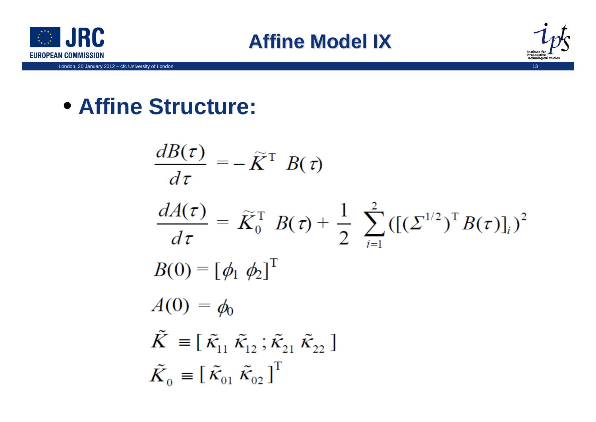





## • **Affine Structure:**

$$
\frac{dB(\tau)}{d\tau} = -\tilde{K}^{T} B(\tau)
$$
\n
$$
\frac{dA(\tau)}{d\tau} = \tilde{K}_{0}^{T} B(\tau) + \frac{1}{2} \sum_{i=1}^{2} ([(\Sigma^{1/2})^{T} B(\tau)]_{i})^{2}
$$
\n
$$
B(0) = [\phi_{1} \phi_{2}]^{T}
$$
\n
$$
A(0) = \phi_{0}
$$
\n
$$
\tilde{K} \equiv [\tilde{\kappa}_{11} \tilde{\kappa}_{12}; \tilde{\kappa}_{21} \tilde{\kappa}_{22}]
$$
\n
$$
\tilde{K}_{0} \equiv [\tilde{\kappa}_{01} \tilde{\kappa}_{02}]^{T}
$$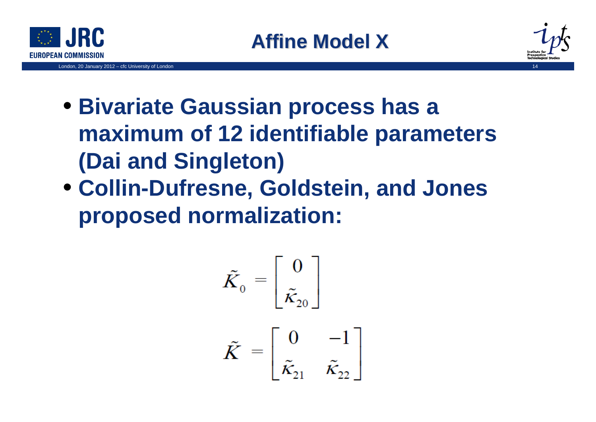



- **Bivariate Gaussian process has a maximum of 12 identifiable parameters (Dai and Singleton)**
- **Collin-Dufresne, Goldstein, and Jones proposed normalization:**

$$
\tilde{K}_0 = \begin{bmatrix} 0 \\ \tilde{\kappa}_{20} \end{bmatrix}
$$

$$
\tilde{K} = \begin{bmatrix} 0 & -1 \\ \tilde{\kappa}_{21} & \tilde{\kappa}_{22} \end{bmatrix}
$$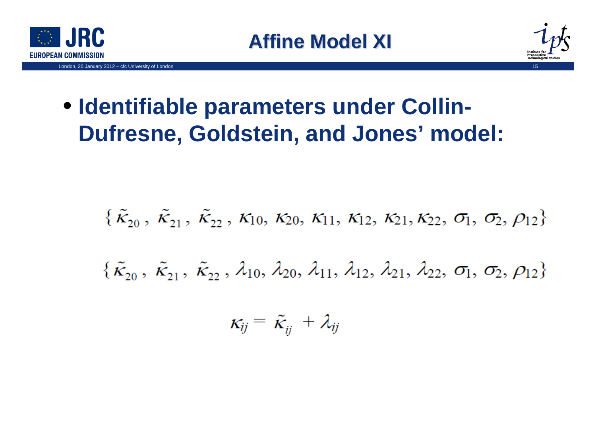



# • **Identifiable parameters under Collin-Dufresne, Goldstein, and Jones' model:**

$$
\{\tilde{k}_{20}, \tilde{k}_{21}, \tilde{k}_{22}, \kappa_{10}, \kappa_{20}, \kappa_{11}, \kappa_{12}, \kappa_{21}, \kappa_{22}, \sigma_1, \sigma_2, \rho_{12}\}\
$$
  

$$
\{\tilde{k}_{20}, \tilde{k}_{21}, \tilde{k}_{22}, \lambda_{10}, \lambda_{20}, \lambda_{11}, \lambda_{12}, \lambda_{21}, \lambda_{22}, \sigma_1, \sigma_2, \rho_{12}\}
$$

$$
\kappa_{ij} = \tilde{\kappa}_{ij} + \lambda_{ij}
$$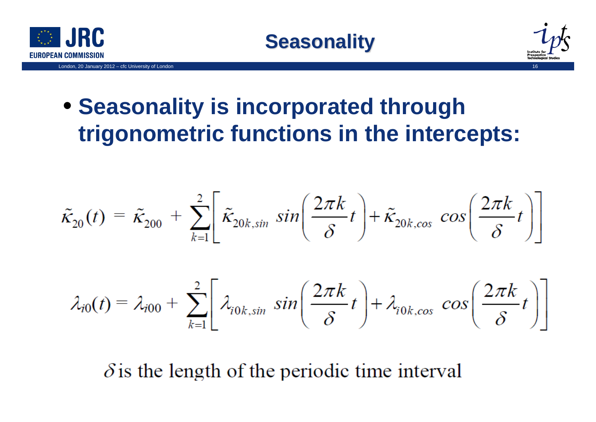





# • **Seasonality is incorporated through trigonometric functions in the intercepts:**

$$
\tilde{\kappa}_{20}(t) = \tilde{\kappa}_{200} + \sum_{k=1}^{2} \left[ \tilde{\kappa}_{20k, \sin} \sin \left( \frac{2\pi k}{\delta} t \right) + \tilde{\kappa}_{20k, \cos} \cos \left( \frac{2\pi k}{\delta} t \right) \right]
$$

$$
\lambda_{i0}(t) = \lambda_{i00} + \sum_{k=1}^{2} \left[ \lambda_{i0k, \sin} \sin \left( \frac{2\pi k}{\delta} t \right) + \lambda_{i0k, \cos} \cos \left( \frac{2\pi k}{\delta} t \right) \right]
$$

 $\delta$  is the length of the periodic time interval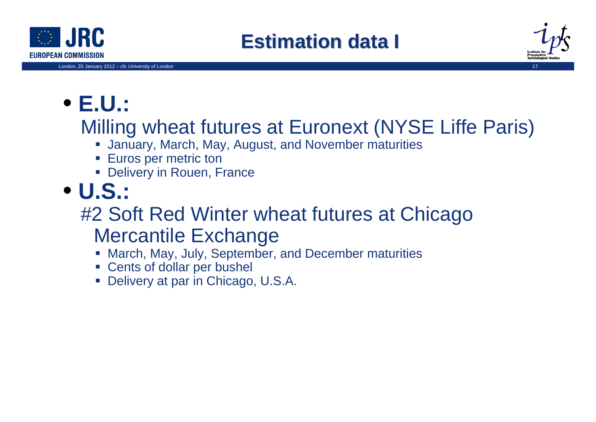



# • **E.U.:**

## Milling wheat futures at Euronext (NYSE Liffe Paris)

- January, March, May, August, and November maturities
- **Euros per metric ton**
- **Delivery in Rouen, France**
- **U.S.:**

## #2 Soft Red Winter wheat futures at Chicago Mercantile Exchange

- March, May, July, September, and December maturities
- Cents of dollar per bushel
- Delivery at par in Chicago, U.S.A.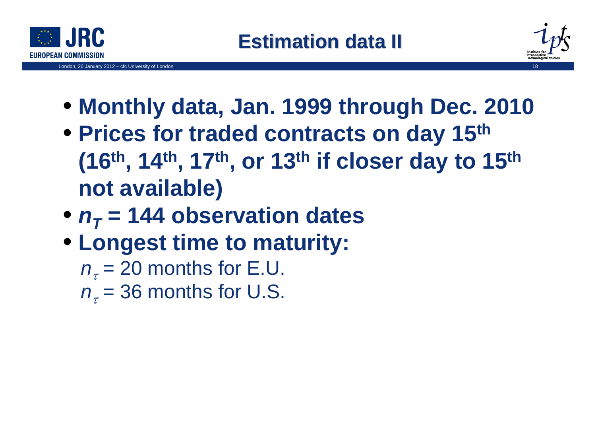

London, 20 January  $2012 - cfc$  University of London



- **Monthly data, Jan. 1999 through Dec. 2010**
- **Prices for traded contracts on day 15th (16th, 14th, 17th, or 13th if closer day to 15th not available)**
- $n_T$  = 144 observation dates
- **Longest time to maturity:**
	- $n_{_{\tau}}$  = 20 months for E.U.

 $n_{_{\tau}}$ = 36 months for U.S.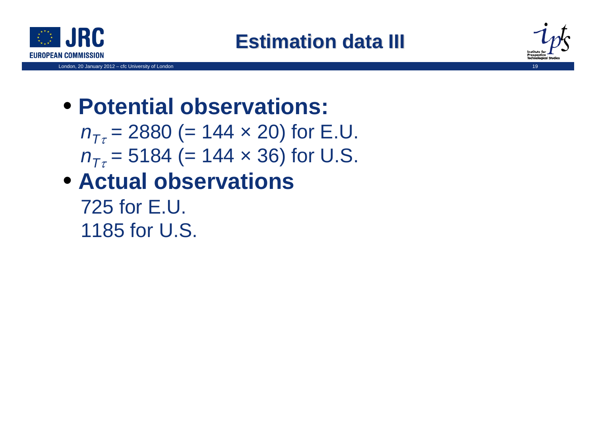



# • **Potential observations:**

 $n_{\mathcal{T}\tau}$  = 2880 (= 144  $\times$  20) for E.U.  $n_{\mathcal{T}\tau}$  = 5184 (= 144  $\times$  36) for U.S.

# • **Actual observations**

725 for E.U. 1185 for U.S.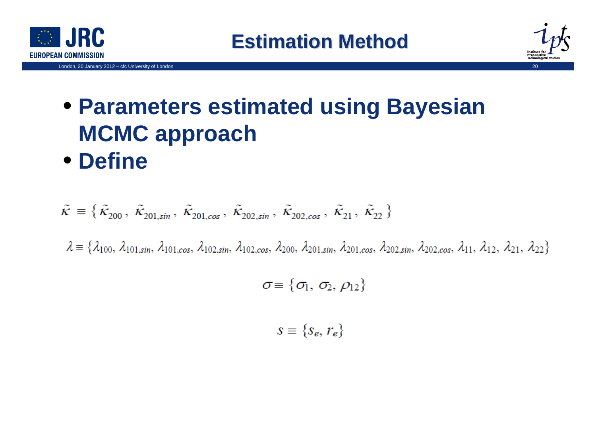



# • **Parameters estimated using Bayesian MCMC approach** • **Define**

$$
\tilde{\kappa} \equiv \{ \tilde{\kappa}_{200}, \ \tilde{\kappa}_{201, \sin}, \ \tilde{\kappa}_{201, \cos}, \ \tilde{\kappa}_{202, \sin}, \ \tilde{\kappa}_{202, \cos}, \ \tilde{\kappa}_{21}, \ \tilde{\kappa}_{22} \}
$$

 $\lambda = \{\lambda_{100}, \lambda_{101,sin}, \lambda_{101,cos}, \lambda_{102,sin}, \lambda_{102,cos}, \lambda_{200}, \lambda_{201,sin}, \lambda_{201,cos}, \lambda_{202,sin}, \lambda_{202,cos}, \lambda_{11}, \lambda_{12}, \lambda_{21}, \lambda_{22}\}\$ 

$$
\sigma \equiv \{\sigma_1,\,\sigma_2,\,\rho_{12}\}
$$

$$
s \equiv \{s_e, r_e\}
$$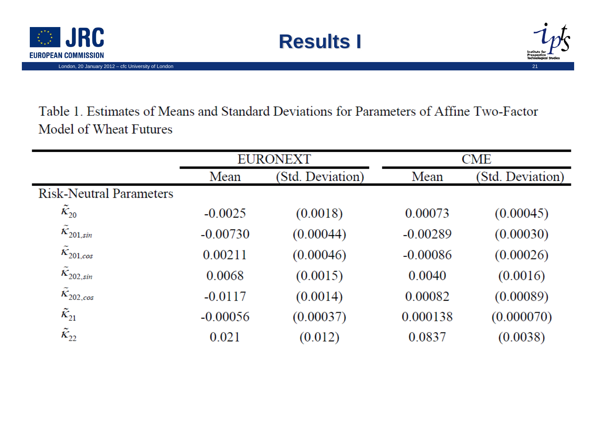



Table 1. Estimates of Means and Standard Deviations for Parameters of Affine Two-Factor Model of Wheat Futures

**Results I** 

|                                     | <b>EURONEXT</b> |                  | <b>CME</b> |                  |
|-------------------------------------|-----------------|------------------|------------|------------------|
|                                     | Mean            | (Std. Deviation) | Mean       | (Std. Deviation) |
| <b>Risk-Neutral Parameters</b>      |                 |                  |            |                  |
| $K_{20}$                            | $-0.0025$       | (0.0018)         | 0.00073    | (0.00045)        |
| $K_{201,sin}$                       | $-0.00730$      | (0.00044)        | $-0.00289$ | (0.00030)        |
| $\tilde{\kappa}_{201,cos}$          | 0.00211         | (0.00046)        | $-0.00086$ | (0.00026)        |
| $\tilde{\kappa}_{202,\textit{sin}}$ | 0.0068          | (0.0015)         | 0.0040     | (0.0016)         |
| $\tilde{\kappa}_{202,cos}$          | $-0.0117$       | (0.0014)         | 0.00082    | (0.00089)        |
| $\tilde{\kappa}_{21}$               | $-0.00056$      | (0.00037)        | 0.000138   | (0.000070)       |
| $\tilde{\kappa}_{22}$               | 0.021           | (0.012)          | 0.0837     | (0.0038)         |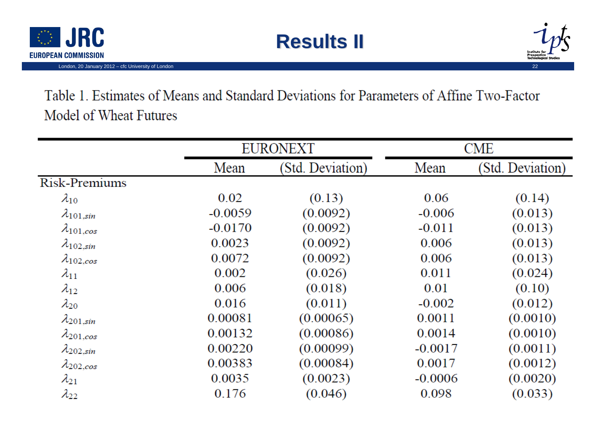

London, 20 January 2012 - cfc University of London





Table 1. Estimates of Means and Standard Deviations for Parameters of Affine Two-Factor Model of Wheat Futures

|                     | <b>EURONEXT</b> |                  | <b>CME</b> |                  |
|---------------------|-----------------|------------------|------------|------------------|
|                     | Mean            | (Std. Deviation) | Mean       | (Std. Deviation) |
| Risk-Premiums       |                 |                  |            |                  |
| $\lambda_{10}$      | 0.02            | (0.13)           | 0.06       | (0.14)           |
| $\lambda_{101,sin}$ | $-0.0059$       | (0.0092)         | $-0.006$   | (0.013)          |
| $\lambda_{101,cos}$ | $-0.0170$       | (0.0092)         | $-0.011$   | (0.013)          |
| $\lambda_{102,sin}$ | 0.0023          | (0.0092)         | 0.006      | (0.013)          |
| $\lambda_{102,cos}$ | 0.0072          | (0.0092)         | 0.006      | (0.013)          |
| $\lambda_{11}$      | 0.002           | (0.026)          | 0.011      | (0.024)          |
| $\lambda_{12}$      | 0.006           | (0.018)          | 0.01       | (0.10)           |
| $\lambda_{20}$      | 0.016           | (0.011)          | $-0.002$   | (0.012)          |
| $\lambda_{201,sin}$ | 0.00081         | (0.00065)        | 0.0011     | (0.0010)         |
| $\lambda_{201,cos}$ | 0.00132         | (0.00086)        | 0.0014     | (0.0010)         |
| $\lambda_{202,sin}$ | 0.00220         | (0.00099)        | $-0.0017$  | (0.0011)         |
| $\lambda_{202,cos}$ | 0.00383         | (0.00084)        | 0.0017     | (0.0012)         |
| $\lambda_{21}$      | 0.0035          | (0.0023)         | $-0.0006$  | (0.0020)         |
| $\lambda_{22}$      | 0.176           | (0.046)          | 0.098      | (0.033)          |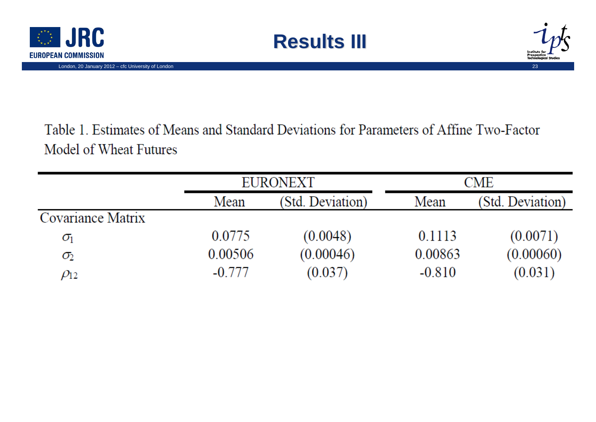



Table 1. Estimates of Means and Standard Deviations for Parameters of Affine Two-Factor Model of Wheat Futures

**Results III** 

|                   |          | EURONEXT         |          | <b>CME</b>       |  |
|-------------------|----------|------------------|----------|------------------|--|
|                   | Mean     | (Std. Deviation) | Mean     | (Std. Deviation) |  |
| Covariance Matrix |          |                  |          |                  |  |
| $\sigma_{\rm l}$  | 0.0775   | (0.0048)         | 0.1113   | (0.0071)         |  |
| $\sigma_2$        | 0.00506  | (0.00046)        | 0.00863  | (0.00060)        |  |
| $\rho_{12}$       | $-0.777$ | (0.037)          | $-0.810$ | (0.031)          |  |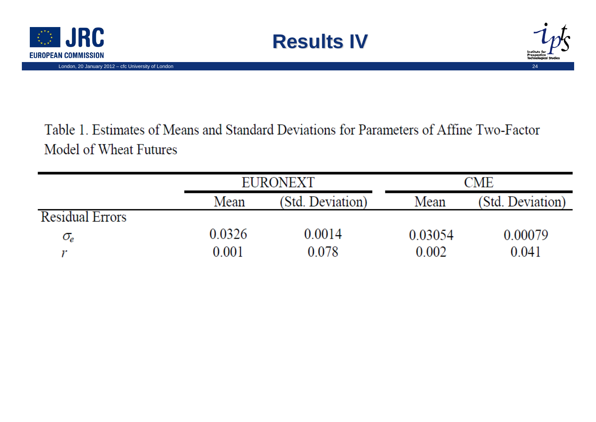



#### Table 1. Estimates of Means and Standard Deviations for Parameters of Affine Two-Factor Model of Wheat Futures

**Results IV** 

|                        |        | <b>EURONEXT</b>  |         | <b>CME</b>       |  |
|------------------------|--------|------------------|---------|------------------|--|
|                        | Mean   | (Std. Deviation) | Mean    | (Std. Deviation) |  |
| <b>Residual Errors</b> |        |                  |         |                  |  |
| $\sigma_{\!e}$         | 0.0326 | 0.0014           | 0.03054 | 0.00079          |  |
|                        | 0.001  | 0.078            | 0.002   | 0.041            |  |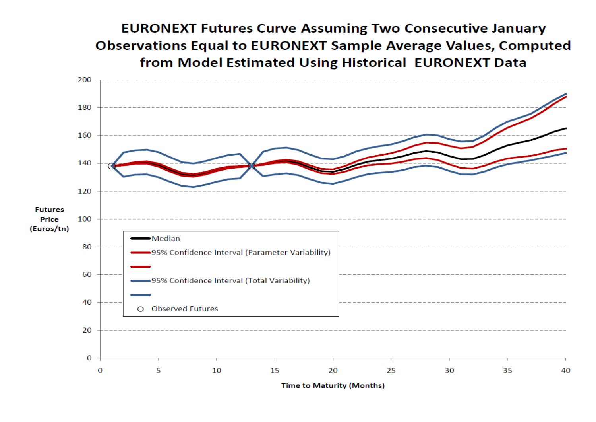**EURONEXT Futures Curve Assuming Two Consecutive January Observations Equal to EURONEXT Sample Average Values, Computed** from Model Estimated Using Historical EURONEXT Data

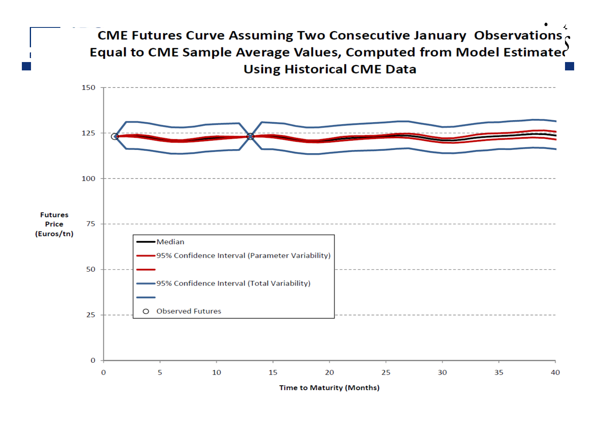#### CME Futures Curve Assuming Two Consecutive January Observations Equal to CME Sample Average Values, Computed from Model Estimated **Using Historical CME Data**

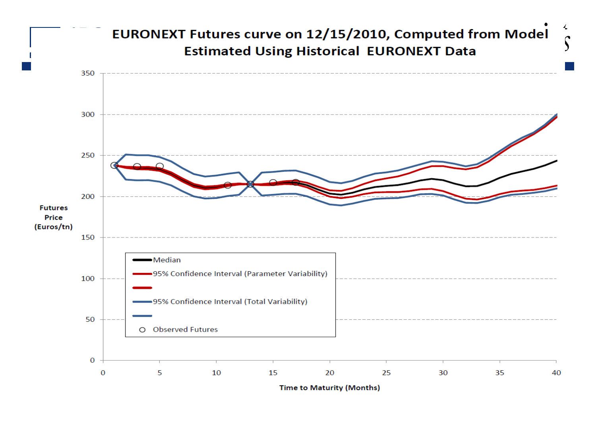#### EURONEXT Futures curve on 12/15/2010, Computed from Model **Estimated Using Historical EURONEXT Data**

 $\frac{1}{2}$ 

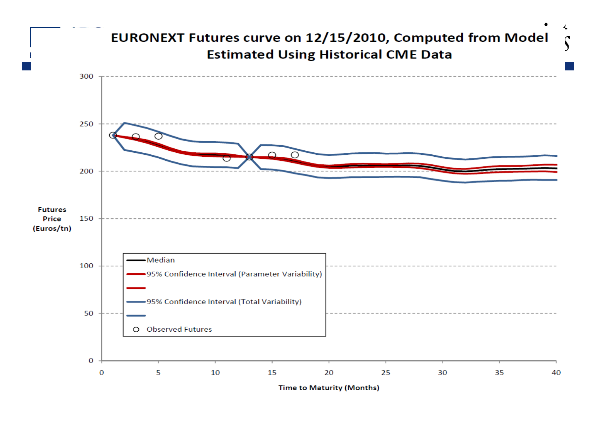#### EURONEXT Futures curve on 12/15/2010, Computed from Model **Estimated Using Historical CME Data**

4

 $\mathfrak{g}$ 

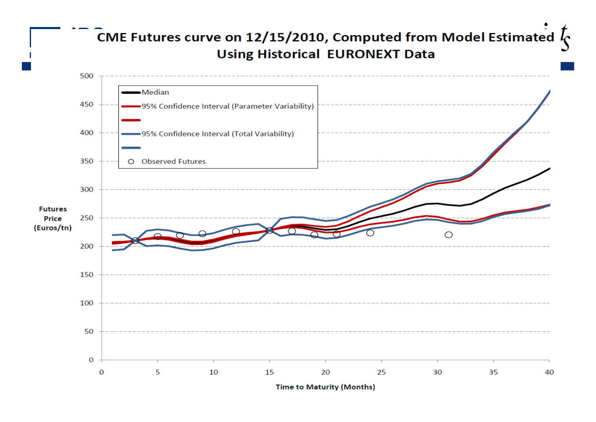#### CME Futures curve on 12/15/2010, Computed from Model Estimated  $l_c$ **Using Historical EURONEXT Data**

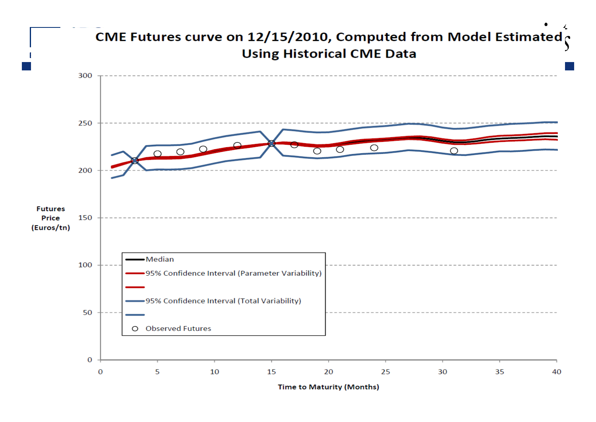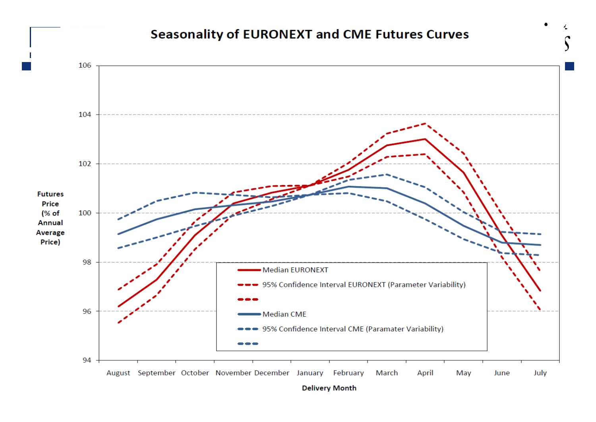#### **Seasonality of EURONEXT and CME Futures Curves**



**Delivery Month**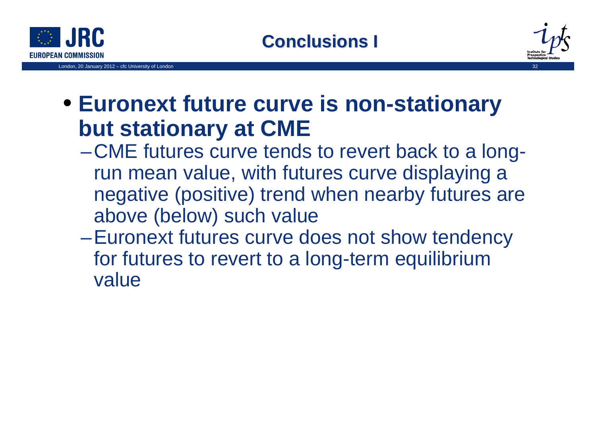



## • **Euronext future curve is non-stationary but stationary at CME**

–CME futures curve tends to revert back to a longrun mean value, with futures curve displaying a negative (positive) trend when nearby futures are above (below) such value

**Conclusions I**

–Euronext futures curve does not show tendency for futures to revert to a long-term equilibrium value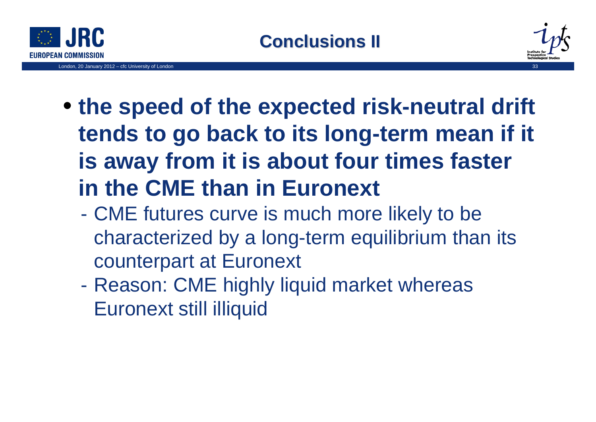

London, 20 January 2012 - cfc University of London



# • **the speed of the expected risk-neutral drift tends to go back to its long-term mean if it is away from it is about four times faster in the CME than in Euronext**

- CME futures curve is much more likely to be characterized by a long-term equilibrium than its counterpart at Euronext
- - Reason: CME highly liquid market whereas Euronext still illiquid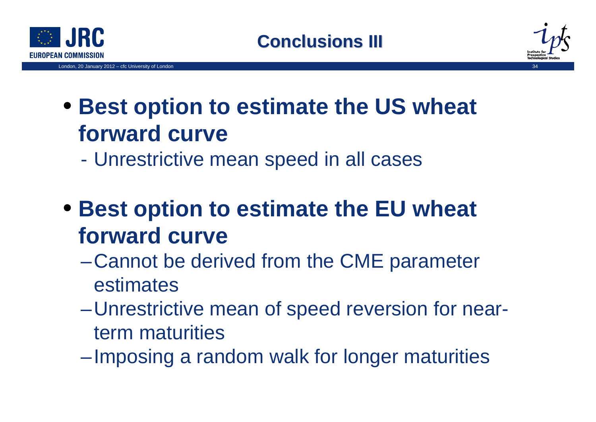





# • **Best option to estimate the US wheat forward curve**

- Unrestrictive mean speed in all cases
- **Best option to estimate the EU wheat forward curve**
	- –Cannot be derived from the CME parameter estimates
	- –Unrestrictive mean of speed reversion for nearterm maturities
	- –Imposing a random walk for longer maturities